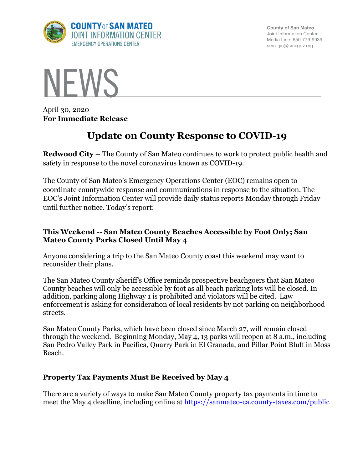

**County of San Mateo** Joint Information Center Media Line: 650-779-9939 smc\_ jic@smcgov.org



April 30, 2020 **For Immediate Release**

# **Update on County Response to COVID-19**

**Redwood City –** The County of San Mateo continues to work to protect public health and safety in response to the novel coronavirus known as COVID-19.

The County of San Mateo's Emergency Operations Center (EOC) remains open to coordinate countywide response and communications in response to the situation. The EOC's Joint Information Center will provide daily status reports Monday through Friday until further notice. Today's report:

### **This Weekend -- San Mateo County Beaches Accessible by Foot Only; San Mateo County Parks Closed Until May 4**

Anyone considering a trip to the San Mateo County coast this weekend may want to reconsider their plans.

The San Mateo County Sheriff's Office reminds prospective beachgoers that San Mateo County beaches will only be accessible by foot as all beach parking lots will be closed. In addition, parking along Highway 1 is prohibited and violators will be cited. Law enforcement is asking for consideration of local residents by not parking on neighborhood streets.

San Mateo County Parks, which have been closed since March 27, will remain closed through the weekend. Beginning Monday, May 4, 13 parks will reopen at 8 a.m., including San Pedro Valley Park in Pacifica, Quarry Park in El Granada, and Pillar Point Bluff in Moss Beach.

## **Property Tax Payments Must Be Received by May 4**

There are a variety of ways to make San Mateo County property tax payments in time to meet the May 4 deadline, including online at https://sanmateo-ca.county-taxes.com/public